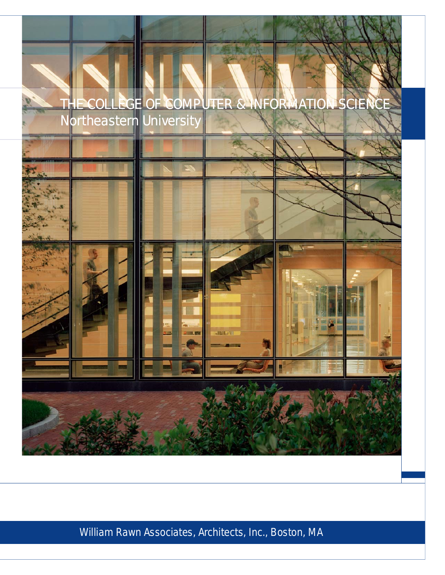

William Rawn Associates, Architects, Inc., Boston, MA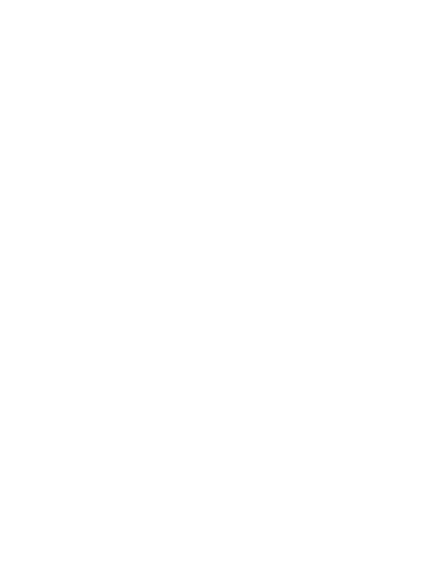# THE COLLEGE OF COMPUTER AND INFORMATION SCIENCE

Located across from the Museum of Fine Arts and facing onto Huntington Avenue (Boston's Avenue of the Arts), the College of Computer and Information Science occupies the lower four floors of a sixteen-story mixed-use academic and residential tower that was the fifth of six building built by our office for Northeastern University as part of the full build-out of its West Campus Master Plan (also by our office).

With clear glass walls opening the 66,000 sf College to the city and filling the interiors with natural light, the building showcases the University's commitment to high-tech education. A wide variety of classroom and lab spaces reinforce the College's mission of bringing together strong academic teaching with cutting-edge research in a collaborative atmosphere for faculty and students.

### AWARDS

 2006 Merit Award, New England Chapter, AIA 2006 Award for Housing Design, Boston Society of Architects 2005 Harleston Parker Medal for Most Beautiful Building in Boston, Boston Society of Architects 2005 Higher Educational Facilities Design Award, Boston Society of

Architects





*View of glass facade along Huntington Avenue.* 



Third Floor Plan





Ground Floor Plan

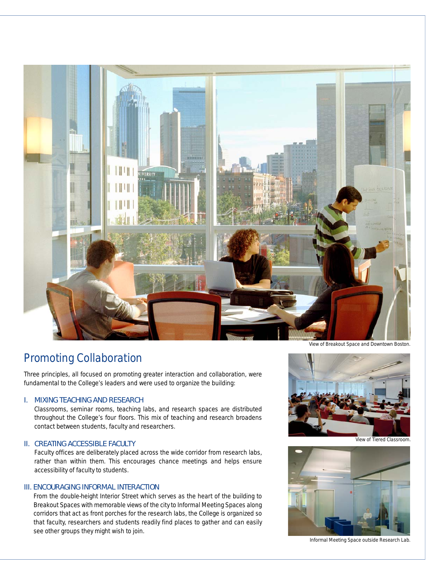

## *Promoting Collaboration*

Three principles, all focused on promoting greater interaction and collaboration, were fundamental to the College's leaders and were used to organize the building:

#### I. MIXING TEACHING AND RESEARCH

Classrooms, seminar rooms, teaching labs, and research spaces are distributed throughout the College's four floors. This mix of teaching and research broadens contact between students, faculty and researchers.

#### II. CREATING ACCESSIBLE FACULTY

Faculty offices are deliberately placed across the wide corridor from research labs, rather than within them. This encourages chance meetings and helps ensure accessibility of faculty to students.

### III. ENCOURAGING INFORMAL INTERACTION

From the double-height Interior Street which serves as the heart of the building to Breakout Spaces with memorable views of the city to Informal Meeting Spaces along corridors that act as front porches for the research labs, the College is organized so that faculty, researchers and students readily find places to gather and can easily see other groups they might wish to join.

*View of Breakout Space and Downtown Boston.* 



*View of Tiered Classroom.* 



*Informal Meeting Space outside Research Lab.*